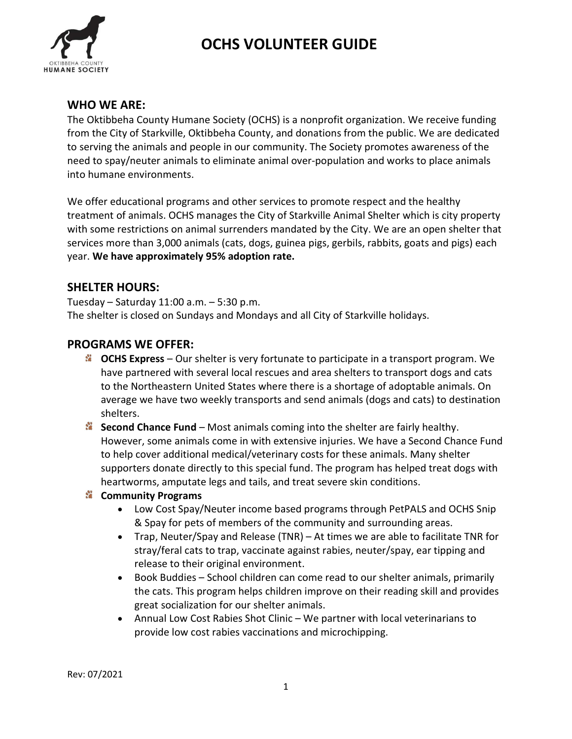

## OCHS VOLUNTEER GUIDE

#### WHO WE ARE:

The Oktibbeha County Humane Society (OCHS) is a nonprofit organization. We receive funding from the City of Starkville, Oktibbeha County, and donations from the public. We are dedicated to serving the animals and people in our community. The Society promotes awareness of the need to spay/neuter animals to eliminate animal over-population and works to place animals into humane environments.

We offer educational programs and other services to promote respect and the healthy treatment of animals. OCHS manages the City of Starkville Animal Shelter which is city property with some restrictions on animal surrenders mandated by the City. We are an open shelter that services more than 3,000 animals (cats, dogs, guinea pigs, gerbils, rabbits, goats and pigs) each year. We have approximately 95% adoption rate.

### SHELTER HOURS:

Tuesday – Saturday 11:00 a.m. – 5:30 p.m. The shelter is closed on Sundays and Mondays and all City of Starkville holidays.

### PROGRAMS WE OFFER:

- $\cdot$  OCHS Express Our shelter is very fortunate to participate in a transport program. We have partnered with several local rescues and area shelters to transport dogs and cats to the Northeastern United States where there is a shortage of adoptable animals. On average we have two weekly transports and send animals (dogs and cats) to destination shelters.
- Second Chance Fund Most animals coming into the shelter are fairly healthy. However, some animals come in with extensive injuries. We have a Second Chance Fund to help cover additional medical/veterinary costs for these animals. Many shelter supporters donate directly to this special fund. The program has helped treat dogs with heartworms, amputate legs and tails, and treat severe skin conditions.

#### **EX** Community Programs

- Low Cost Spay/Neuter income based programs through PetPALS and OCHS Snip & Spay for pets of members of the community and surrounding areas.
- Trap, Neuter/Spay and Release (TNR) At times we are able to facilitate TNR for stray/feral cats to trap, vaccinate against rabies, neuter/spay, ear tipping and release to their original environment.
- Book Buddies School children can come read to our shelter animals, primarily the cats. This program helps children improve on their reading skill and provides great socialization for our shelter animals.
- Annual Low Cost Rabies Shot Clinic We partner with local veterinarians to provide low cost rabies vaccinations and microchipping.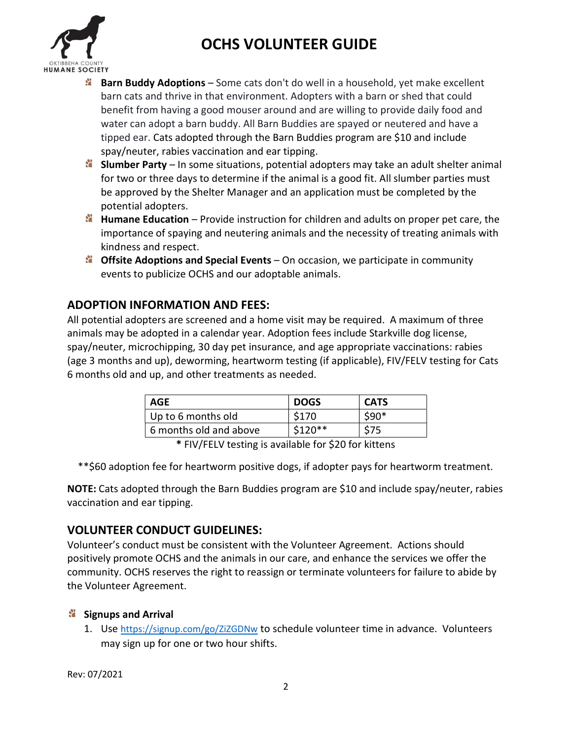



- **Barn Buddy Adoptions** Some cats don't do well in a household, yet make excellent barn cats and thrive in that environment. Adopters with a barn or shed that could benefit from having a good mouser around and are willing to provide daily food and water can adopt a barn buddy. All Barn Buddies are spayed or neutered and have a tipped ear. Cats adopted through the Barn Buddies program are \$10 and include spay/neuter, rabies vaccination and ear tipping.
- $\cdot$  Slumber Party In some situations, potential adopters may take an adult shelter animal for two or three days to determine if the animal is a good fit. All slumber parties must be approved by the Shelter Manager and an application must be completed by the potential adopters.
- $\ddot{\cdot}$  Humane Education Provide instruction for children and adults on proper pet care, the importance of spaying and neutering animals and the necessity of treating animals with kindness and respect.
- $\cdot$  Offsite Adoptions and Special Events On occasion, we participate in community events to publicize OCHS and our adoptable animals.

## ADOPTION INFORMATION AND FEES:

All potential adopters are screened and a home visit may be required. A maximum of three animals may be adopted in a calendar year. Adoption fees include Starkville dog license, spay/neuter, microchipping, 30 day pet insurance, and age appropriate vaccinations: rabies (age 3 months and up), deworming, heartworm testing (if applicable), FIV/FELV testing for Cats 6 months old and up, and other treatments as needed.

| AGE                    | <b>DOGS</b> | <b>CATS</b> |
|------------------------|-------------|-------------|
| Up to 6 months old     | \$170       | \$90*       |
| 6 months old and above | $$120**$    |             |
|                        |             |             |

\* FIV/FELV testing is available for \$20 for kittens

\*\*\$60 adoption fee for heartworm positive dogs, if adopter pays for heartworm treatment.

NOTE: Cats adopted through the Barn Buddies program are \$10 and include spay/neuter, rabies vaccination and ear tipping.

## VOLUNTEER CONDUCT GUIDELINES:

Volunteer's conduct must be consistent with the Volunteer Agreement. Actions should positively promote OCHS and the animals in our care, and enhance the services we offer the community. OCHS reserves the right to reassign or terminate volunteers for failure to abide by the Volunteer Agreement.

#### **Signups and Arrival**

1. Use https://signup.com/go/ZiZGDNw to schedule volunteer time in advance. Volunteers may sign up for one or two hour shifts.

Rev: 07/2021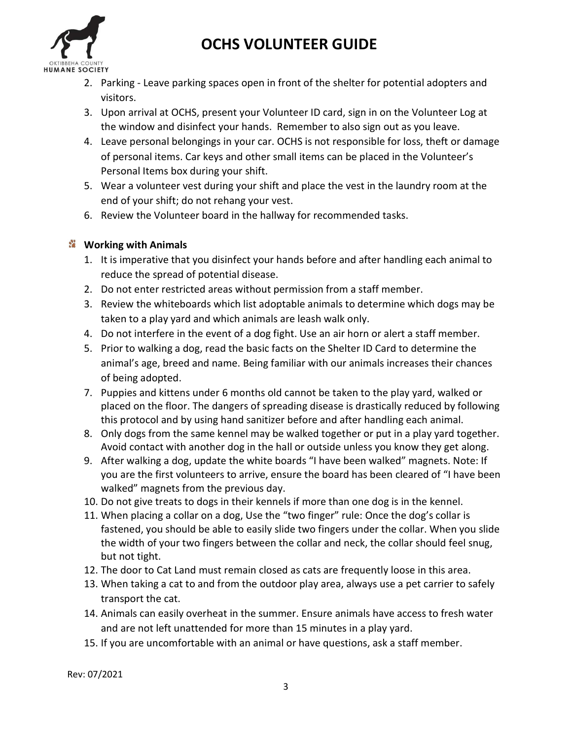

# OCHS VOLUNTEER GUIDE

- 2. Parking Leave parking spaces open in front of the shelter for potential adopters and visitors.
- 3. Upon arrival at OCHS, present your Volunteer ID card, sign in on the Volunteer Log at the window and disinfect your hands. Remember to also sign out as you leave.
- 4. Leave personal belongings in your car. OCHS is not responsible for loss, theft or damage of personal items. Car keys and other small items can be placed in the Volunteer's Personal Items box during your shift.
- 5. Wear a volunteer vest during your shift and place the vest in the laundry room at the end of your shift; do not rehang your vest.
- 6. Review the Volunteer board in the hallway for recommended tasks.

## **Working with Animals**

- 1. It is imperative that you disinfect your hands before and after handling each animal to reduce the spread of potential disease.
- 2. Do not enter restricted areas without permission from a staff member.
- 3. Review the whiteboards which list adoptable animals to determine which dogs may be taken to a play yard and which animals are leash walk only.
- 4. Do not interfere in the event of a dog fight. Use an air horn or alert a staff member.
- 5. Prior to walking a dog, read the basic facts on the Shelter ID Card to determine the animal's age, breed and name. Being familiar with our animals increases their chances of being adopted.
- 7. Puppies and kittens under 6 months old cannot be taken to the play yard, walked or placed on the floor. The dangers of spreading disease is drastically reduced by following this protocol and by using hand sanitizer before and after handling each animal.
- 8. Only dogs from the same kennel may be walked together or put in a play yard together. Avoid contact with another dog in the hall or outside unless you know they get along.
- 9. After walking a dog, update the white boards "I have been walked" magnets. Note: If you are the first volunteers to arrive, ensure the board has been cleared of "I have been walked" magnets from the previous day.
- 10. Do not give treats to dogs in their kennels if more than one dog is in the kennel.
- 11. When placing a collar on a dog, Use the "two finger" rule: Once the dog's collar is fastened, you should be able to easily slide two fingers under the collar. When you slide the width of your two fingers between the collar and neck, the collar should feel snug, but not tight.
- 12. The door to Cat Land must remain closed as cats are frequently loose in this area.
- 13. When taking a cat to and from the outdoor play area, always use a pet carrier to safely transport the cat.
- 14. Animals can easily overheat in the summer. Ensure animals have access to fresh water and are not left unattended for more than 15 minutes in a play yard.
- 15. If you are uncomfortable with an animal or have questions, ask a staff member.

Rev: 07/2021